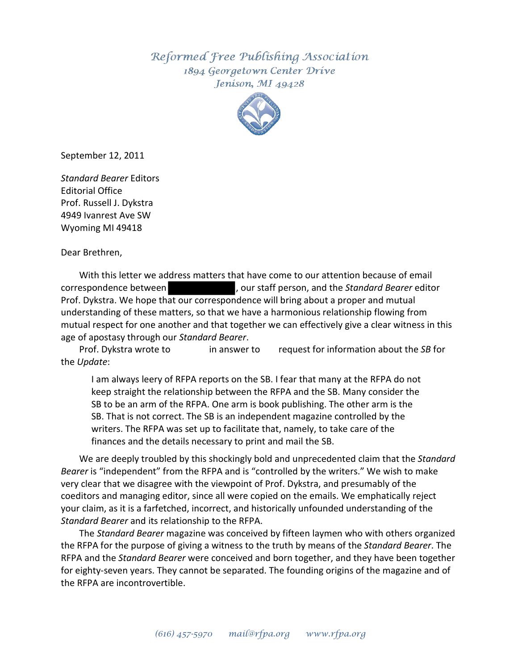Reformed Free Publishing Association 1894 Georgetown Center Drive Jenison, MI 49428



September 12, 2011

*Standard Bearer* Editors Editorial Office Prof. Russell J. Dykstra 4949 Ivanrest Ave SW Wyoming MI 49418

Dear Brethren,

With this letter we address matters that have come to our attention because of email correspondence between , our staff person, and the *Standard Bearer* editor Prof. Dykstra. We hope that our correspondence will bring about a proper and mutual understanding of these matters, so that we have a harmonious relationship flowing from mutual respect for one another and that together we can effectively give a clear witness in this age of apostasy through our *Standard Bearer*.

Prof. Dykstra wrote to in answer to request for information about the *SB* for the *Update*:

I am always leery of RFPA reports on the SB. I fear that many at the RFPA do not keep straight the relationship between the RFPA and the SB. Many consider the SB to be an arm of the RFPA. One arm is book publishing. The other arm is the SB. That is not correct. The SB is an independent magazine controlled by the writers. The RFPA was set up to facilitate that, namely, to take care of the finances and the details necessary to print and mail the SB.

We are deeply troubled by this shockingly bold and unprecedented claim that the *Standard Bearer* is "independent" from the RFPA and is "controlled by the writers." We wish to make very clear that we disagree with the viewpoint of Prof. Dykstra, and presumably of the coeditors and managing editor, since all were copied on the emails. We emphatically reject your claim, as it is a farfetched, incorrect, and historically unfounded understanding of the *Standard Bearer* and its relationship to the RFPA.

The *Standard Bearer* magazine was conceived by fifteen laymen who with others organized the RFPA for the purpose of giving a witness to the truth by means of the *Standard Bearer*. The RFPA and the *Standard Bearer* were conceived and born together, and they have been together for eighty-seven years. They cannot be separated. The founding origins of the magazine and of the RFPA are incontrovertible.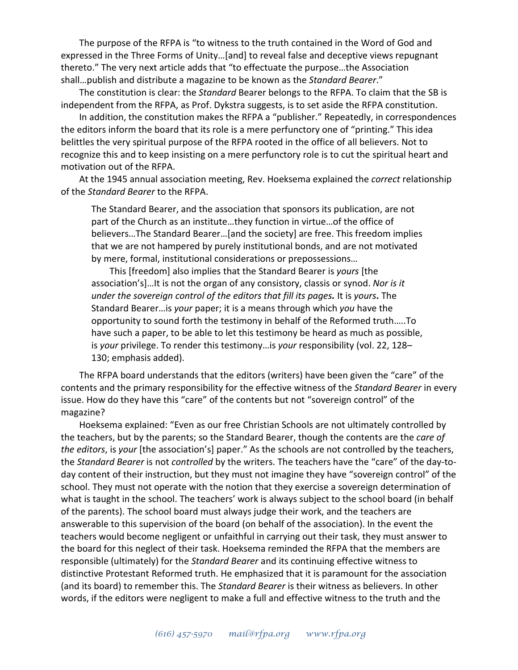The purpose of the RFPA is "to witness to the truth contained in the Word of God and expressed in the Three Forms of Unity…[and] to reveal false and deceptive views repugnant thereto." The very next article adds that "to effectuate the purpose…the Association shall…publish and distribute a magazine to be known as the *Standard Bearer*."

The constitution is clear: the *Standard* Bearer belongs to the RFPA. To claim that the SB is independent from the RFPA, as Prof. Dykstra suggests, is to set aside the RFPA constitution.

In addition, the constitution makes the RFPA a "publisher." Repeatedly, in correspondences the editors inform the board that its role is a mere perfunctory one of "printing." This idea belittles the very spiritual purpose of the RFPA rooted in the office of all believers. Not to recognize this and to keep insisting on a mere perfunctory role is to cut the spiritual heart and motivation out of the RFPA.

At the 1945 annual association meeting, Rev. Hoeksema explained the *correct* relationship of the *Standard Bearer* to the RFPA.

The Standard Bearer, and the association that sponsors its publication, are not part of the Church as an institute…they function in virtue…of the office of believers…The Standard Bearer…[and the society] are free. This freedom implies that we are not hampered by purely institutional bonds, and are not motivated by mere, formal, institutional considerations or prepossessions…

This [freedom] also implies that the Standard Bearer is *yours* [the association's]…It is not the organ of any consistory, classis or synod. *Nor is it under the sovereign control of the editors that fill its pages.* It is *yours***.** The Standard Bearer…is *your* paper; it is a means through which *you* have the opportunity to sound forth the testimony in behalf of the Reformed truth…..To have such a paper, to be able to let this testimony be heard as much as possible, is *your* privilege. To render this testimony…is *your* responsibility (vol. 22, 128– 130; emphasis added).

The RFPA board understands that the editors (writers) have been given the "care" of the contents and the primary responsibility for the effective witness of the *Standard Bearer* in every issue. How do they have this "care" of the contents but not "sovereign control" of the magazine?

Hoeksema explained: "Even as our free Christian Schools are not ultimately controlled by the teachers, but by the parents; so the Standard Bearer, though the contents are the *care of the editors*, is *your* [the association's] paper." As the schools are not controlled by the teachers, the *Standard Bearer* is not *controlled* by the writers. The teachers have the "care" of the day-today content of their instruction, but they must not imagine they have "sovereign control" of the school. They must not operate with the notion that they exercise a sovereign determination of what is taught in the school. The teachers' work is always subject to the school board (in behalf of the parents). The school board must always judge their work, and the teachers are answerable to this supervision of the board (on behalf of the association). In the event the teachers would become negligent or unfaithful in carrying out their task, they must answer to the board for this neglect of their task. Hoeksema reminded the RFPA that the members are responsible (ultimately) for the *Standard Bearer* and its continuing effective witness to distinctive Protestant Reformed truth. He emphasized that it is paramount for the association (and its board) to remember this. The *Standard Bearer* is their witness as believers. In other words, if the editors were negligent to make a full and effective witness to the truth and the